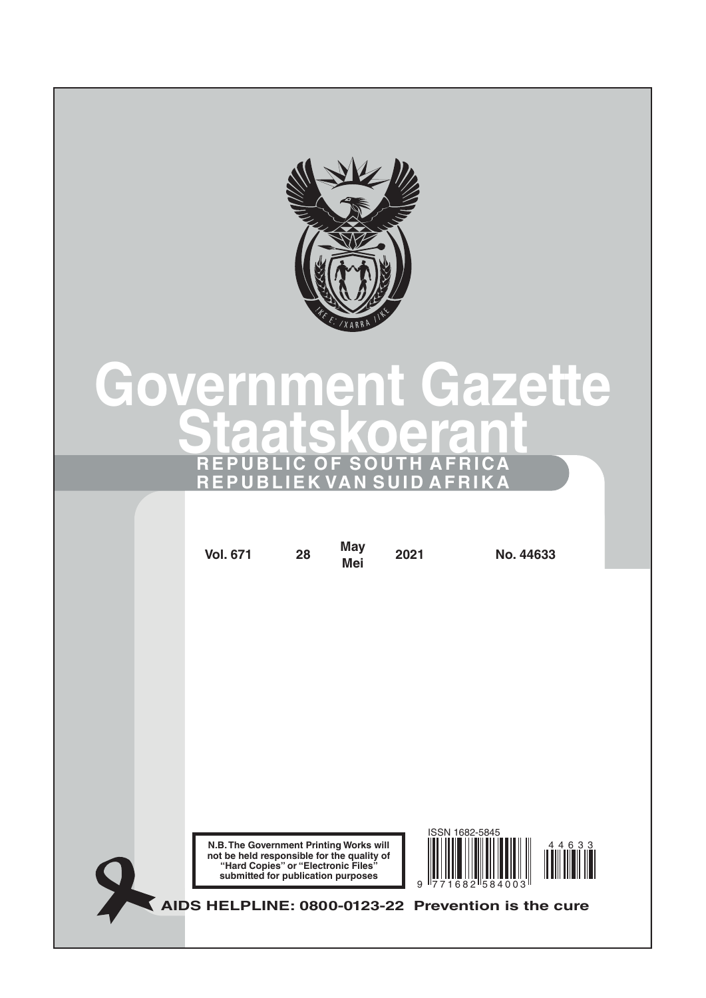

# **Government Gazette Staatskoeran REPUBLIC OF SOUTH AFRICA REPUBLIEK VAN SUID AFRIKA**

| <b>Vol. 671</b>                                                                       | 28                                                                        | <b>May</b><br>Mei | 2021 | No. 44633                                          |  |
|---------------------------------------------------------------------------------------|---------------------------------------------------------------------------|-------------------|------|----------------------------------------------------|--|
|                                                                                       |                                                                           |                   |      |                                                    |  |
|                                                                                       |                                                                           |                   |      |                                                    |  |
|                                                                                       |                                                                           |                   |      |                                                    |  |
|                                                                                       |                                                                           |                   |      |                                                    |  |
|                                                                                       |                                                                           |                   |      |                                                    |  |
|                                                                                       |                                                                           |                   |      | ISSN 1682-5845                                     |  |
| N.B. The Government Printing Works will<br>not be held responsible for the quality of | "Hard Copies" or "Electronic Files"<br>submitted for publication purposes |                   | 9    | 4 4 6 3 3<br>82 584003 9<br>6                      |  |
|                                                                                       |                                                                           |                   |      | AIDS HELPLINE: 0800-0123-22 Prevention is the cure |  |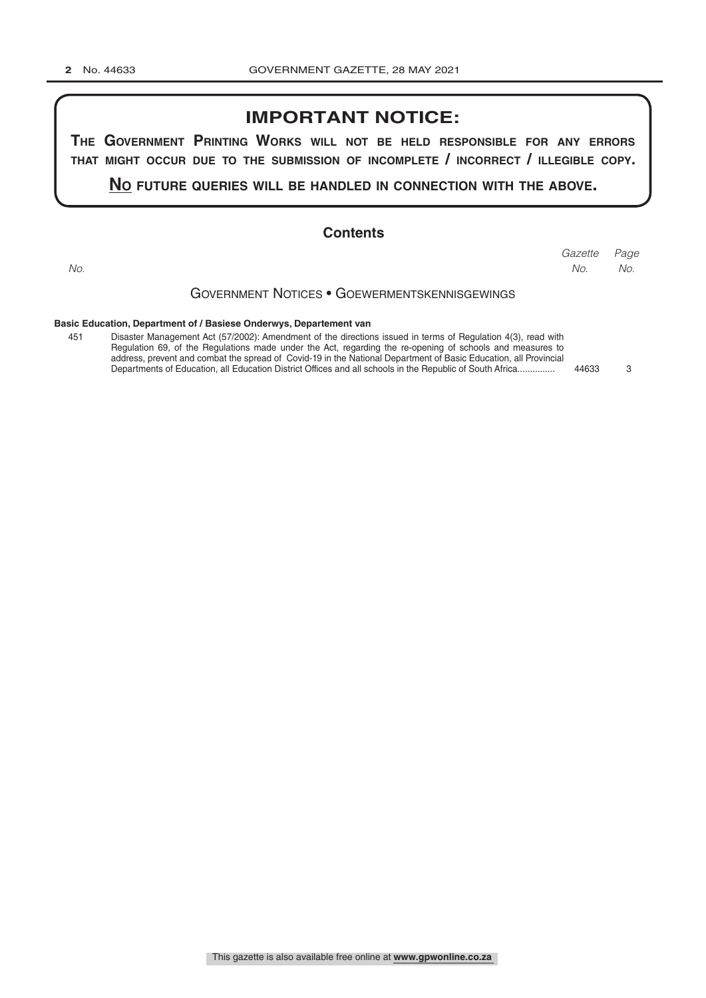## **IMPORTANT NOTICE:**

**The GovernmenT PrinTinG Works Will noT be held resPonsible for any errors ThaT miGhT occur due To The submission of incomPleTe / incorrecT / illeGible coPy.**

**no fuTure queries Will be handled in connecTion WiTh The above.**

#### **Contents**

*No. No.*

Government [Notices • Goewermentskennisgewings](#page-2-0)

#### **[Basic Education, Department of / Basiese Onderwys, Departement van](#page-2-0)**

451 [Disaster Management Act \(57/2002\): Amendment of the directions issued in terms of Regulation 4\(3\), read with](#page-2-0)  [Regulation 69, of the Regulations made under the Act, regarding the re-opening of schools and measures to](#page-2-0)  [address, prevent and combat the spread of Covid-19 in the National Department of Basic Education, all Provincial](#page-2-0)  [Departments of Education, all Education District Offices and all schools in the Republic of South Africa...............](#page-2-0). 44633 3

*No.*

*Page Gazette*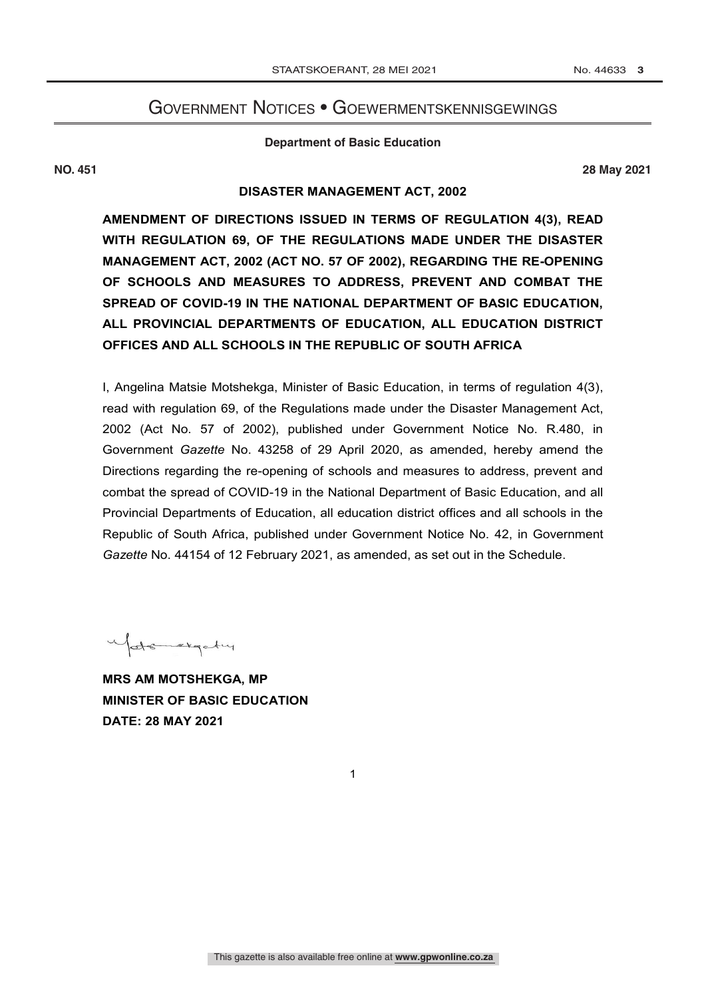# Government Notices • Goewermentskennisgewings **GOVERNMENT NOTICE**

**Department of Basic Education** 

<span id="page-2-0"></span>

**NO. 451 28 May 2021**

### **DISASTER MANAGEMENT ACT, 2002**

**AMENDMENT OF DIRECTIONS ISSUED IN TERMS OF REGULATION 4(3), READ WITH REGULATION 69, OF THE REGULATIONS MADE UNDER THE DISASTER MANAGEMENT ACT, 2002 (ACT NO. 57 OF 2002), REGARDING THE RE-OPENING OF SCHOOLS AND MEASURES TO ADDRESS, PREVENT AND COMBAT THE SPREAD OF COVID-19 IN THE NATIONAL DEPARTMENT OF BASIC EDUCATION, ALL PROVINCIAL DEPARTMENTS OF EDUCATION, ALL EDUCATION DISTRICT OFFICES AND ALL SCHOOLS IN THE REPUBLIC OF SOUTH AFRICA**

I, Angelina Matsie Motshekga, Minister of Basic Education, in terms of regulation 4(3), read with regulation 69, of the Regulations made under the Disaster Management Act, 2002 (Act No. 57 of 2002), published under Government Notice No. R.480, in Government *Gazette* No. 43258 of 29 April 2020, as amended, hereby amend the Directions regarding the re-opening of schools and measures to address, prevent and combat the spread of COVID-19 in the National Department of Basic Education, and all Provincial Departments of Education, all education district offices and all schools in the Republic of South Africa, published under Government Notice No. 42, in Government *Gazette* No. 44154 of 12 February 2021, as amended, as set out in the Schedule.

Jots experty

**MRS AM MOTSHEKGA, MP MINISTER OF BASIC EDUCATION DATE: 28 MAY 2021**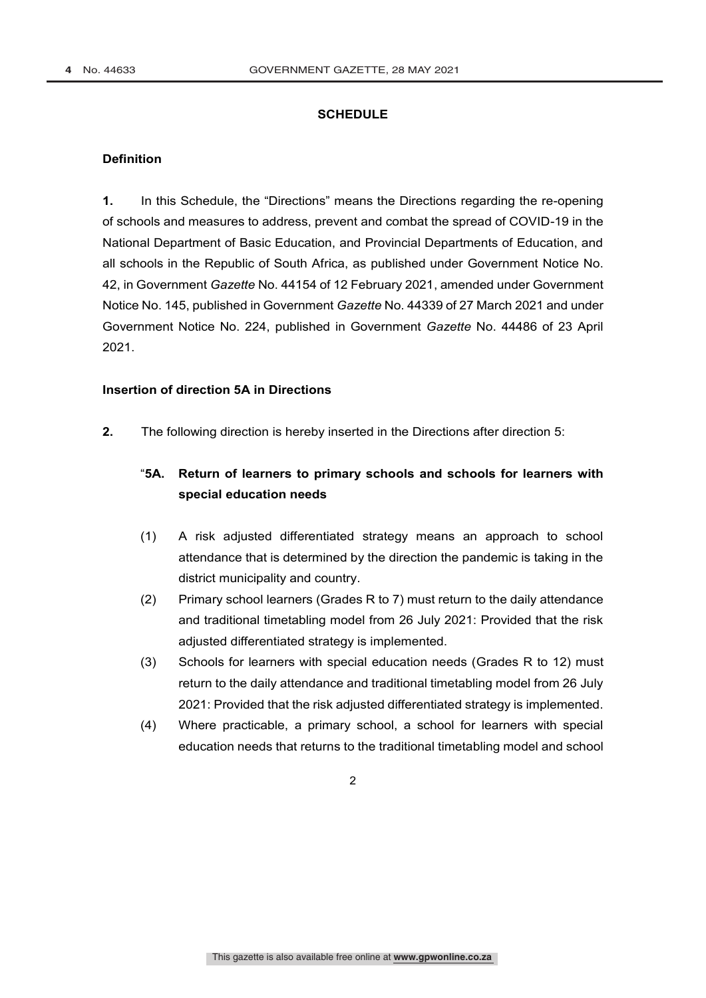#### **SCHEDULE**

#### **Definition**

**1.** In this Schedule, the "Directions" means the Directions regarding the re-opening of schools and measures to address, prevent and combat the spread of COVID-19 in the National Department of Basic Education, and Provincial Departments of Education, and all schools in the Republic of South Africa, as published under Government Notice No. 42, in Government *Gazette* No. 44154 of 12 February 2021, amended under Government Notice No. 145, published in Government *Gazette* No. 44339 of 27 March 2021 and under Government Notice No. 224, published in Government *Gazette* No. 44486 of 23 April 2021.

#### **Insertion of direction 5A in Directions**

**2.** The following direction is hereby inserted in the Directions after direction 5:

# "**5A. Return of learners to primary schools and schools for learners with special education needs**

- (1) A risk adjusted differentiated strategy means an approach to school attendance that is determined by the direction the pandemic is taking in the district municipality and country.
- (2) Primary school learners (Grades R to 7) must return to the daily attendance and traditional timetabling model from 26 July 2021: Provided that the risk adjusted differentiated strategy is implemented.
- (3) Schools for learners with special education needs (Grades R to 12) must return to the daily attendance and traditional timetabling model from 26 July 2021: Provided that the risk adjusted differentiated strategy is implemented.
- (4) Where practicable, a primary school, a school for learners with special education needs that returns to the traditional timetabling model and school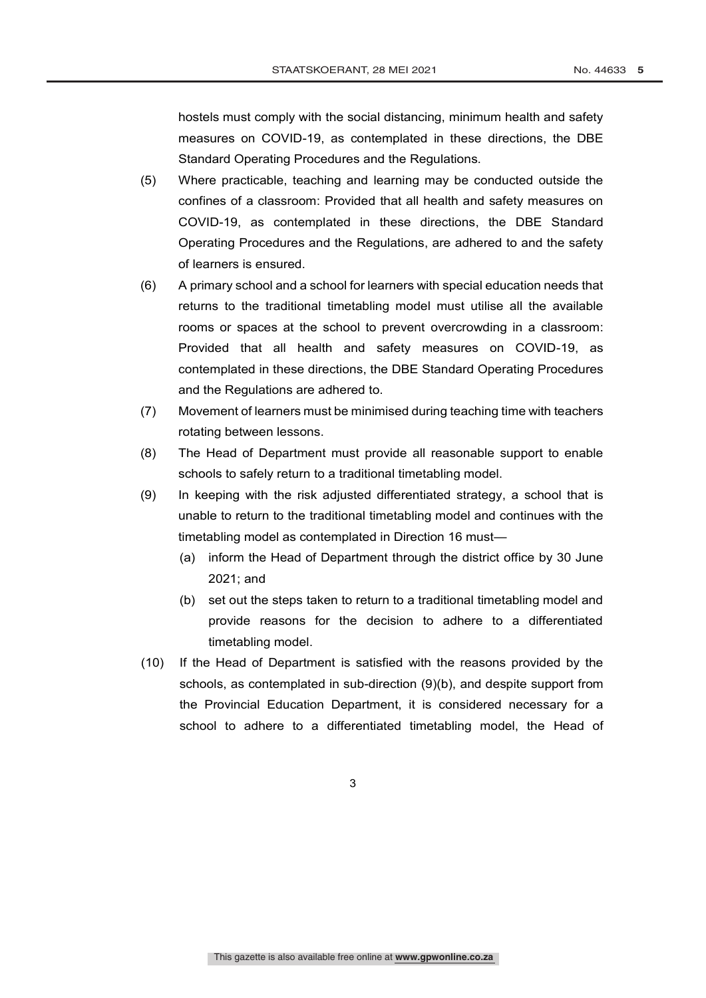hostels must comply with the social distancing, minimum health and safety measures on COVID-19, as contemplated in these directions, the DBE Standard Operating Procedures and the Regulations.

- (5) Where practicable, teaching and learning may be conducted outside the confines of a classroom: Provided that all health and safety measures on COVID-19, as contemplated in these directions, the DBE Standard Operating Procedures and the Regulations, are adhered to and the safety of learners is ensured.
- (6) A primary school and a school for learners with special education needs that returns to the traditional timetabling model must utilise all the available rooms or spaces at the school to prevent overcrowding in a classroom: Provided that all health and safety measures on COVID-19, as contemplated in these directions, the DBE Standard Operating Procedures and the Regulations are adhered to.
- (7) Movement of learners must be minimised during teaching time with teachers rotating between lessons.
- (8) The Head of Department must provide all reasonable support to enable schools to safely return to a traditional timetabling model.
- (9) In keeping with the risk adjusted differentiated strategy, a school that is unable to return to the traditional timetabling model and continues with the timetabling model as contemplated in Direction 16 must—
	- (a) inform the Head of Department through the district office by 30 June 2021; and
	- (b) set out the steps taken to return to a traditional timetabling model and provide reasons for the decision to adhere to a differentiated timetabling model.
- (10) If the Head of Department is satisfied with the reasons provided by the schools, as contemplated in sub-direction (9)(b), and despite support from the Provincial Education Department, it is considered necessary for a school to adhere to a differentiated timetabling model, the Head of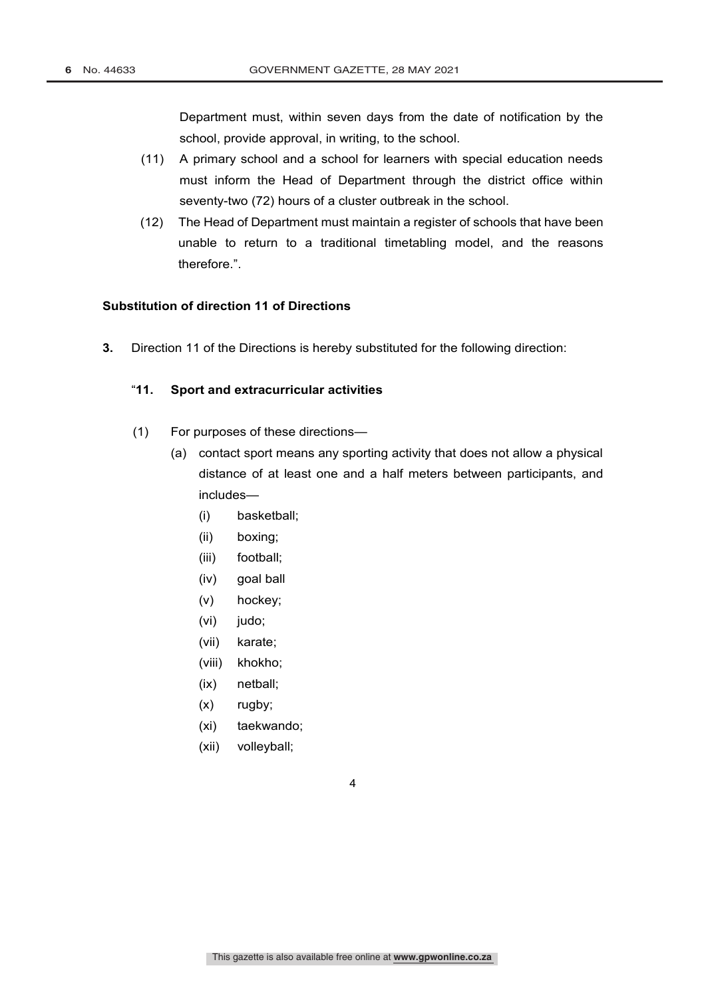Department must, within seven days from the date of notification by the school, provide approval, in writing, to the school.

- (11) A primary school and a school for learners with special education needs must inform the Head of Department through the district office within seventy-two (72) hours of a cluster outbreak in the school.
- (12) The Head of Department must maintain a register of schools that have been unable to return to a traditional timetabling model, and the reasons therefore.".

#### **Substitution of direction 11 of Directions**

**3.** Direction 11 of the Directions is hereby substituted for the following direction:

#### "**11. Sport and extracurricular activities**

- (1) For purposes of these directions—
	- (a) contact sport means any sporting activity that does not allow a physical distance of at least one and a half meters between participants, and includes—
		- (i) basketball;
		- (ii) boxing;
		- (iii) football;
		- (iv) goal ball
		- (v) hockey;
		- (vi) judo;
		- (vii) karate;
		- (viii) khokho;
		- (ix) netball;
		- (x) rugby;
		- (xi) taekwando;
		- (xii) volleyball;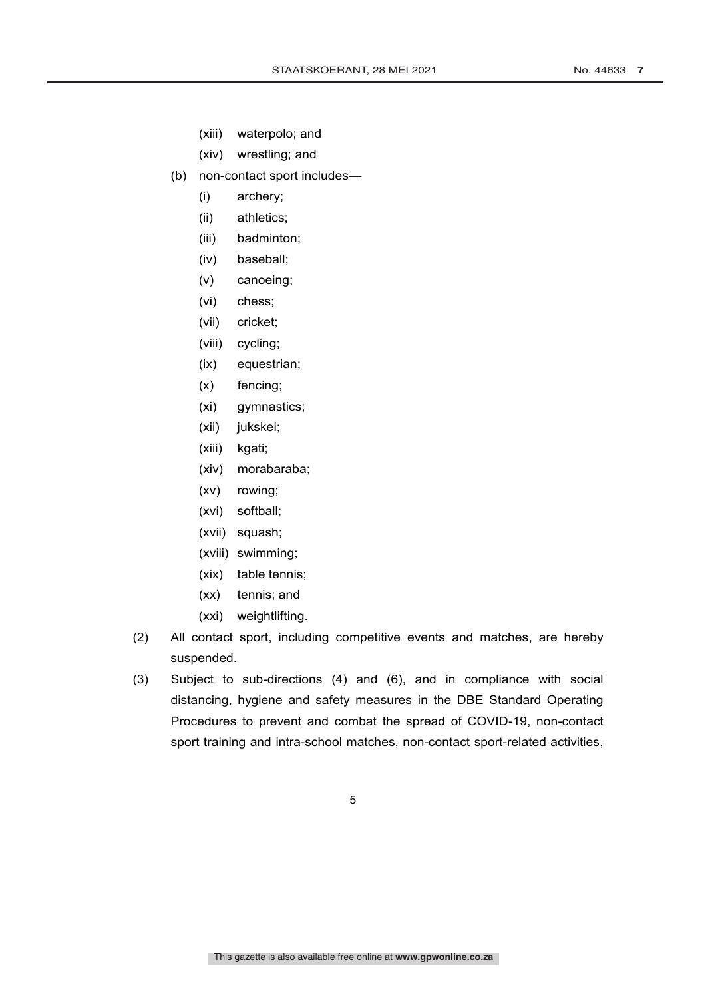- (xiii) waterpolo; and
- (xiv) wrestling; and
- (b) non-contact sport includes—
	- (i) archery;
	- (ii) athletics;
	- (iii) badminton;
	- (iv) baseball;
	- (v) canoeing;
	- (vi) chess;
	- (vii) cricket;
	- (viii) cycling;
	- (ix) equestrian;
	- (x) fencing;
	- (xi) gymnastics;
	- (xii) jukskei;
	- (xiii) kgati;
	- (xiv) morabaraba;
	- (xv) rowing;
	- (xvi) softball;
	- (xvii) squash;
	- (xviii) swimming;
	- (xix) table tennis;
	- (xx) tennis; and
	- (xxi) weightlifting.
- (2) All contact sport, including competitive events and matches, are hereby suspended.
- (3) Subject to sub-directions (4) and (6), and in compliance with social distancing, hygiene and safety measures in the DBE Standard Operating Procedures to prevent and combat the spread of COVID-19, non-contact sport training and intra-school matches, non-contact sport-related activities,

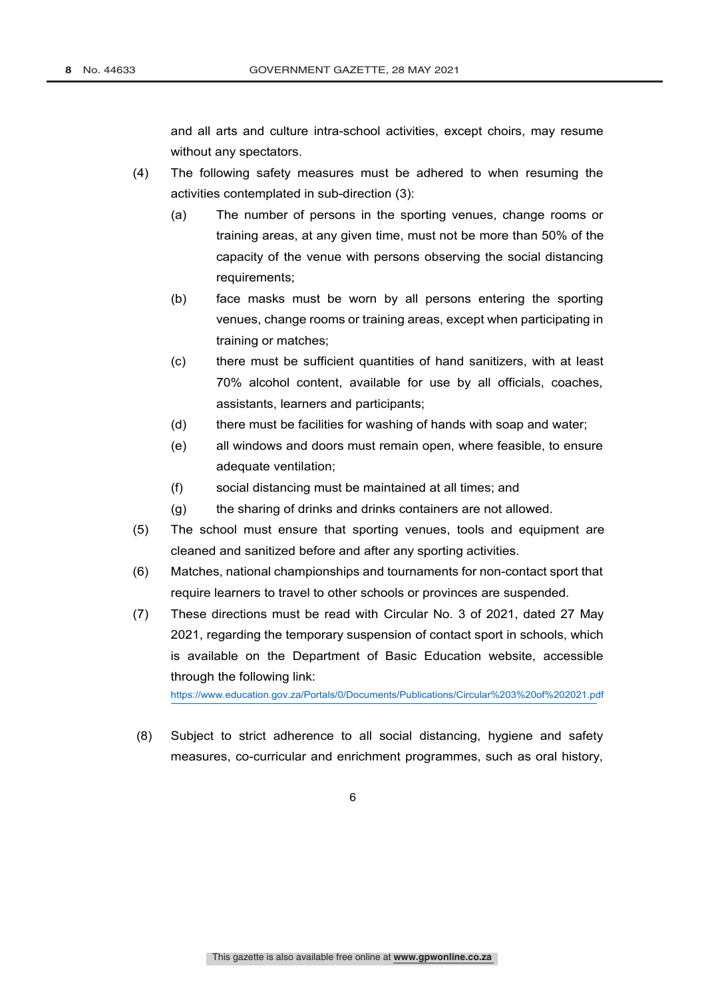and all arts and culture intra-school activities, except choirs, may resume without any spectators.

- (4) The following safety measures must be adhered to when resuming the activities contemplated in sub-direction (3):
	- (a) The number of persons in the sporting venues, change rooms or training areas, at any given time, must not be more than 50% of the capacity of the venue with persons observing the social distancing requirements;
	- (b) face masks must be worn by all persons entering the sporting venues, change rooms or training areas, except when participating in training or matches;
	- (c) there must be sufficient quantities of hand sanitizers, with at least 70% alcohol content, available for use by all officials, coaches, assistants, learners and participants;
	- (d) there must be facilities for washing of hands with soap and water;
	- (e) all windows and doors must remain open, where feasible, to ensure adequate ventilation;
	- (f) social distancing must be maintained at all times; and
	- (g) the sharing of drinks and drinks containers are not allowed.
- (5) The school must ensure that sporting venues, tools and equipment are cleaned and sanitized before and after any sporting activities.
- (6) Matches, national championships and tournaments for non-contact sport that require learners to travel to other schools or provinces are suspended.
- (7) These directions must be read with Circular No. 3 of 2021, dated 27 May 2021, regarding the temporary suspension of contact sport in schools, which is available on the Department of Basic Education website, accessible through the following link:

https://www.education.gov.za/Portals/0/Documents/Publications/Circular%203%20of%202021.pdf

(8) Subject to strict adherence to all social distancing, hygiene and safety measures, co-curricular and enrichment programmes, such as oral history,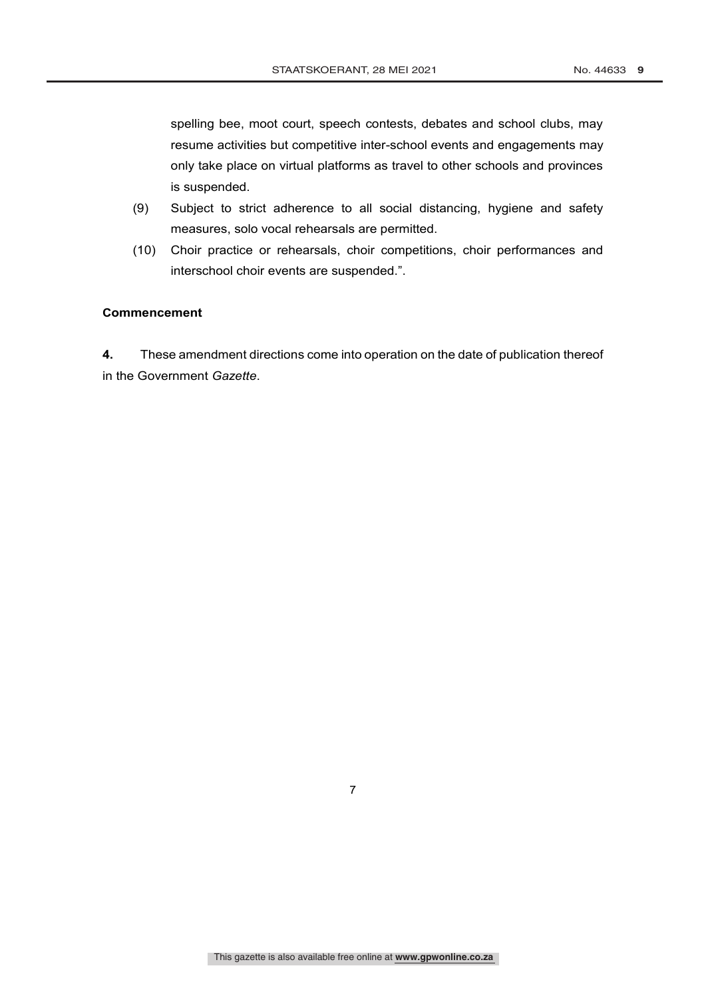spelling bee, moot court, speech contests, debates and school clubs, may resume activities but competitive inter-school events and engagements may only take place on virtual platforms as travel to other schools and provinces is suspended.

- (9) Subject to strict adherence to all social distancing, hygiene and safety measures, solo vocal rehearsals are permitted.
- (10) Choir practice or rehearsals, choir competitions, choir performances and interschool choir events are suspended.".

#### **Commencement**

**4.** These amendment directions come into operation on the date of publication thereof in the Government *Gazette*.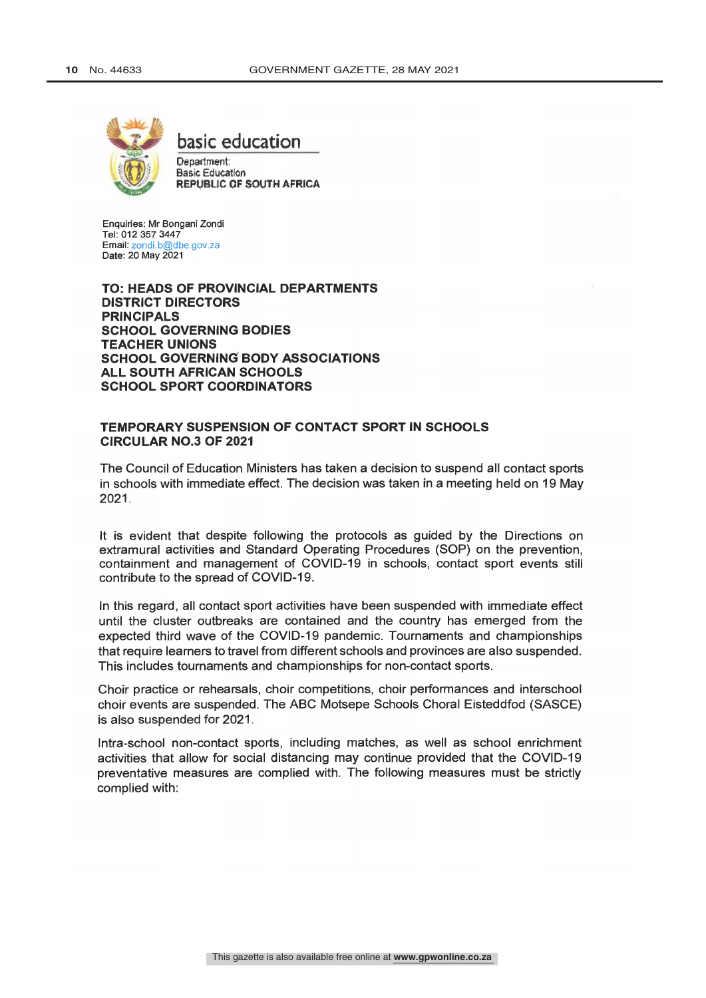

basic education

Department: Basic Education REPUBLIC OF SOUTH AFRICA

Enquiries: Mr Bongani Zondi Tel: 012 357 3447 Email: zondi.b@dbe.gov.za Date: 20 May 2021

TO: HEADS OF PROVINCIAL DEPARTMENTS DISTRICT DIRECTORS PRINCIPALS SCHOOL GOVERNING BODIES TEACHER UNIONS SCHOOL GOVERNING BODY ASSOCIATIONS ALL SOUTH AFRICAN SCHOOLS SCHOOL SPORT COORDINATORS

#### TEMPORARY SUSPENSION OF CONTACT SPORT IN SCHOOLS CIRCULAR NO.3 OF 2021

The Council of Education Ministers has taken a decision to suspend all contact sports in schools with immediate effect. The decision was taken in a meeting held on 19 May 2021.

It is evident that despite following the protocols as guided by the Directions on extramural activities and Standard Operating Procedures (SOP) on the prevention, containment and management of COVID -19 in schools, contact sport events still contribute to the spread of COVID -19.

In this regard, all contact sport activities have been suspended with immediate effect until the cluster outbreaks are contained and the country has emerged from the expected third wave of the COVID-19 pandemic. Tournaments and championships that require learners to travel from different schools and provinces are also suspended. This includes tournaments and championships for non -contact sports.

Choir practice or rehearsals, choir competitions, choir performances and interschool choir events are suspended. The ABC Motsepe Schools Choral Eisteddfod (SASCE) is also suspended for 2021.

Intra- school non -contact sports, including matches, as well as school enrichment activities that allow for social distancing may continue provided that the COVID -19 preventative measures are complied with. The following measures must be strictly complied with: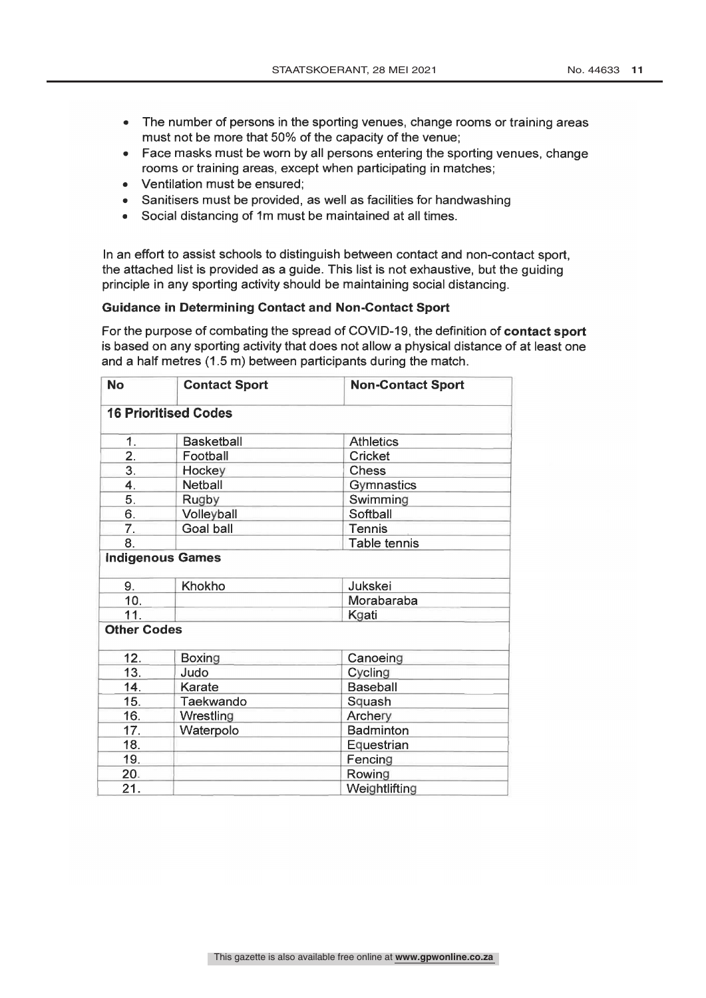- The number of persons in the sporting venues, change rooms or training areas must not be more that 50% of the capacity of the venue;
- Face masks must be worn by all persons entering the sporting venues, change rooms or training areas, except when participating in matches;
- Ventilation must be ensured:
- Sanitisers must be provided, as well as facilities for handwashing
- Social distancing of 1m must be maintained at all times.

In an effort to assist schools to distinguish between contact and non-contact sport, the attached list is provided as a guide. This list is not exhaustive, but the guiding principle in any sporting activity should be maintaining social distancing.

#### Guidance in Determining Contact and Non -Contact Sport

For the purpose of combating the spread of COVID-19, the definition of contact sport is based on any sporting activity that does not allow a physical distance of at least one and a half metres (1.5 m) between participants during the match.

| <b>No</b>                   | <b>Contact Sport</b>    | <b>Non-Contact Sport</b> |  |  |
|-----------------------------|-------------------------|--------------------------|--|--|
| <b>16 Prioritised Codes</b> |                         |                          |  |  |
| 1.                          | <b>Basketball</b>       | <b>Athletics</b>         |  |  |
| $\overline{2}$ .            | Football                | Cricket                  |  |  |
| 3.                          | Hockey                  | <b>Chess</b>             |  |  |
| 4.                          | <b>Netball</b>          | Gymnastics               |  |  |
| 5.                          | Rugby                   | Swimming                 |  |  |
| 6.                          | Volleyball              | Softball                 |  |  |
| $\overline{7}$ .            | <b>Goal ball</b>        | <b>Tennis</b>            |  |  |
| 8.                          |                         | Table tennis             |  |  |
|                             | <b>Indigenous Games</b> |                          |  |  |
| 9.                          | Khokho                  | Jukskei                  |  |  |
| 10.                         |                         | Morabaraba               |  |  |
| 11.                         |                         | Kgati                    |  |  |
| <b>Other Codes</b>          |                         |                          |  |  |
| 12.                         | <b>Boxing</b>           | Canoeing                 |  |  |
| 13.                         | Judo                    | Cycling                  |  |  |
| 14.                         | Karate                  | <b>Baseball</b>          |  |  |
| 15.                         | Taekwando               | Squash                   |  |  |
| 16.                         | Wrestling               | Archery                  |  |  |
| 17.                         | Waterpolo               | <b>Badminton</b>         |  |  |
| 18.                         |                         | Equestrian               |  |  |
| 19.                         |                         | Fencing                  |  |  |
| 20.                         |                         | Rowing                   |  |  |
| 21.                         |                         | Weightlifting            |  |  |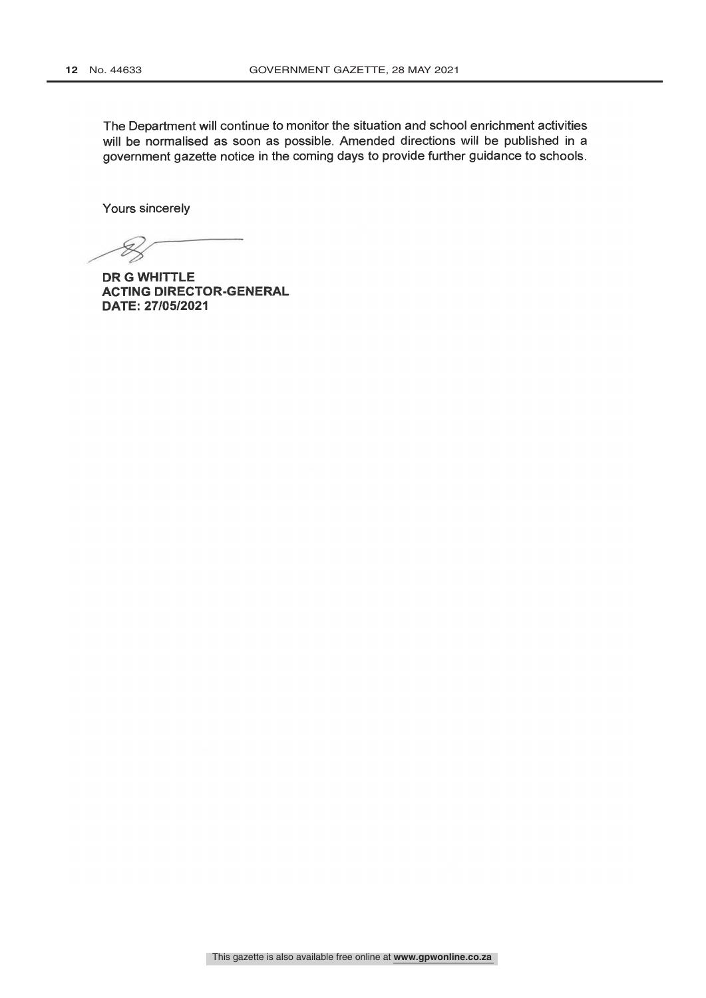The Department will continue to monitor the situation and school enrichment activities will be normalised as soon as possible. Amended directions will be published in a government gazette notice in the coming days to provide further guidance to schools.

Yours sincerely

DR G WHITTLE ACTING DIRECTOR -GENERAL DATE: 27/05/2021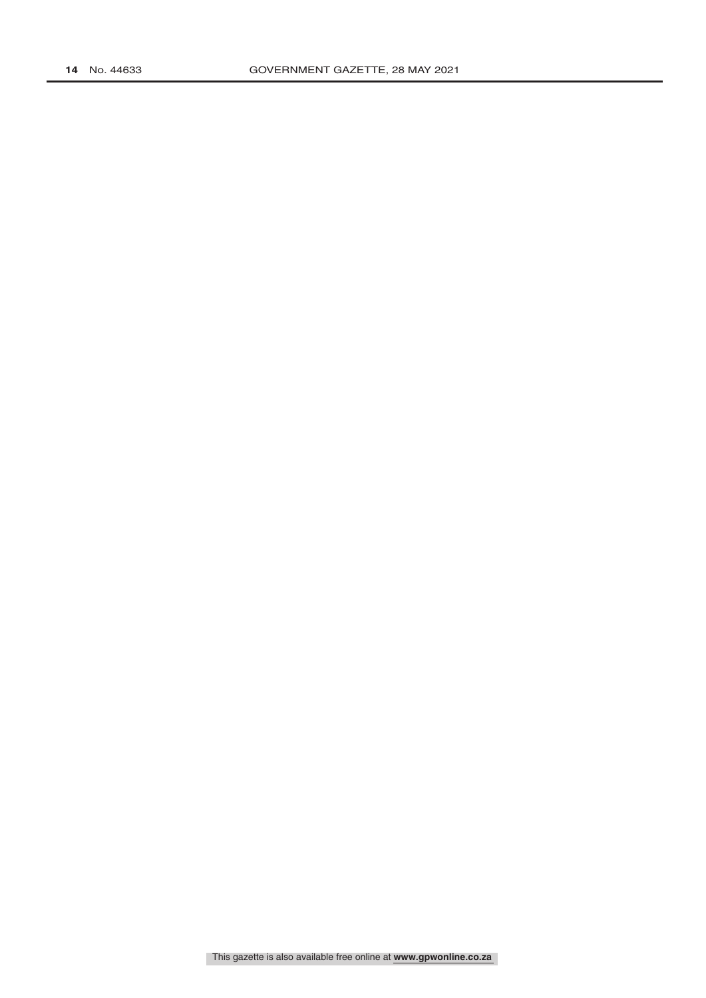This gazette is also available free online at **www.gpwonline.co.za**